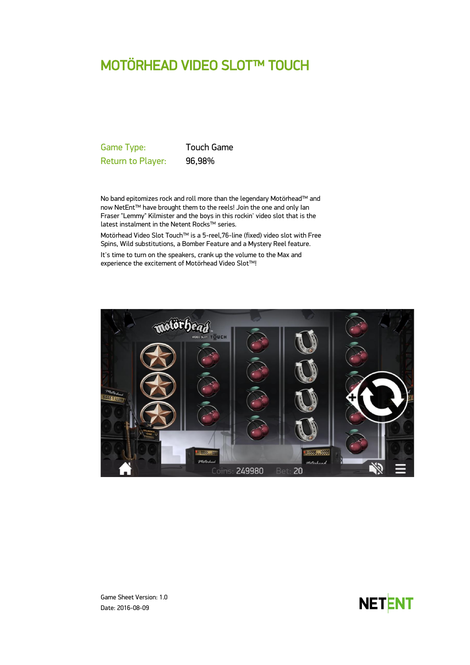# MOTÖRHEAD VIDEO SLOT™ TOUCH

Game Type: Touch Game Return to Player: 96,98%

No band epitomizes rock and roll more than the legendary Motörhead™ and now NetEnt™ have brought them to the reels! Join the one and only Ian Fraser "Lemmy" Kilmister and the boys in this rockin' video slot that is the latest instalment in the Netent Rocks™ series.

Motörhead Video Slot Touch™ is a 5-reel,76-line (fixed) video slot with Free Spins, Wild substitutions, a Bomber Feature and a Mystery Reel feature.

It's time to turn on the speakers, crank up the volume to the Max and experience the excitement of Motörhead Video Slot™!





Game Sheet Version: 1.0 Date: 2016-08-09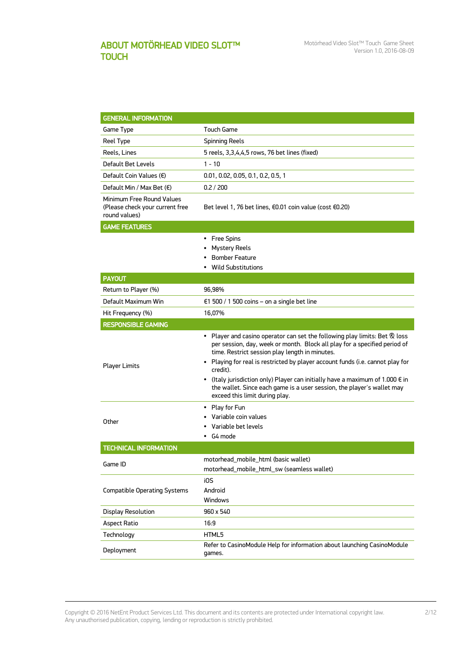# ABOUT MOTÖRHEAD VIDEO SLOT™ **TOUCH**

| <b>GENERAL INFORMATION</b>                                                    |                                                                                                                                                                                                                                                                                                                                                                                                                                                                                                               |  |  |  |
|-------------------------------------------------------------------------------|---------------------------------------------------------------------------------------------------------------------------------------------------------------------------------------------------------------------------------------------------------------------------------------------------------------------------------------------------------------------------------------------------------------------------------------------------------------------------------------------------------------|--|--|--|
| Game Type                                                                     | Touch Game                                                                                                                                                                                                                                                                                                                                                                                                                                                                                                    |  |  |  |
| Reel Type                                                                     | <b>Spinning Reels</b>                                                                                                                                                                                                                                                                                                                                                                                                                                                                                         |  |  |  |
| Reels, Lines                                                                  | 5 reels, 3,3,4,4,5 rows, 76 bet lines (fixed)                                                                                                                                                                                                                                                                                                                                                                                                                                                                 |  |  |  |
| Default Bet Levels                                                            | $1 - 10$                                                                                                                                                                                                                                                                                                                                                                                                                                                                                                      |  |  |  |
| Default Coin Values $(\epsilon)$                                              | 0.01, 0.02, 0.05, 0.1, 0.2, 0.5, 1                                                                                                                                                                                                                                                                                                                                                                                                                                                                            |  |  |  |
| Default Min / Max Bet $(\epsilon)$                                            | 0.2 / 200                                                                                                                                                                                                                                                                                                                                                                                                                                                                                                     |  |  |  |
| Minimum Free Round Values<br>(Please check your current free<br>round values) | Bet level 1, 76 bet lines, €0.01 coin value (cost €0.20)                                                                                                                                                                                                                                                                                                                                                                                                                                                      |  |  |  |
| <b>GAME FEATURES</b>                                                          |                                                                                                                                                                                                                                                                                                                                                                                                                                                                                                               |  |  |  |
|                                                                               | • Free Spins<br><b>Mystery Reels</b><br><b>Bomber Feature</b><br>• Wild Substitutions                                                                                                                                                                                                                                                                                                                                                                                                                         |  |  |  |
| <b>PAYOUT</b>                                                                 |                                                                                                                                                                                                                                                                                                                                                                                                                                                                                                               |  |  |  |
| Return to Player (%)                                                          | 96,98%                                                                                                                                                                                                                                                                                                                                                                                                                                                                                                        |  |  |  |
| Default Maximum Win                                                           | €1 500 / 1 500 coins – on a single bet line                                                                                                                                                                                                                                                                                                                                                                                                                                                                   |  |  |  |
| Hit Frequency (%)                                                             | 16,07%                                                                                                                                                                                                                                                                                                                                                                                                                                                                                                        |  |  |  |
| <b>RESPONSIBLE GAMING</b>                                                     |                                                                                                                                                                                                                                                                                                                                                                                                                                                                                                               |  |  |  |
| <b>Player Limits</b>                                                          | • Player and casino operator can set the following play limits: Bet & loss<br>per session, day, week or month. Block all play for a specified period of<br>time. Restrict session play length in minutes.<br>• Playing for real is restricted by player account funds (i.e. cannot play for<br>credit).<br>• (Italy jurisdiction only) Player can initially have a maximum of 1.000 $\epsilon$ in<br>the wallet. Since each game is a user session, the player's wallet may<br>exceed this limit during play. |  |  |  |
| Other                                                                         | • Play for Fun<br>• Variable coin values<br>Variable bet levels<br>G4 mode                                                                                                                                                                                                                                                                                                                                                                                                                                    |  |  |  |
| <b>TECHNICAL INFORMATION</b>                                                  |                                                                                                                                                                                                                                                                                                                                                                                                                                                                                                               |  |  |  |
| Game ID                                                                       | motorhead_mobile_html (basic wallet)<br>motorhead_mobile_html_sw (seamless wallet)                                                                                                                                                                                                                                                                                                                                                                                                                            |  |  |  |
| <b>Compatible Operating Systems</b>                                           | i0S<br>Android<br>Windows                                                                                                                                                                                                                                                                                                                                                                                                                                                                                     |  |  |  |
| <b>Display Resolution</b>                                                     | 960 x 540                                                                                                                                                                                                                                                                                                                                                                                                                                                                                                     |  |  |  |
| <b>Aspect Ratio</b>                                                           | 16:9                                                                                                                                                                                                                                                                                                                                                                                                                                                                                                          |  |  |  |
| Technology                                                                    | HTML5                                                                                                                                                                                                                                                                                                                                                                                                                                                                                                         |  |  |  |
| Deployment                                                                    | Refer to CasinoModule Help for information about launching CasinoModule<br>games.                                                                                                                                                                                                                                                                                                                                                                                                                             |  |  |  |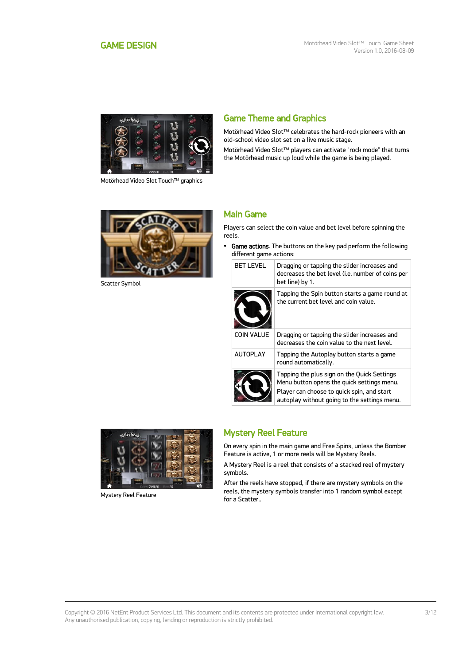<span id="page-2-0"></span>

Motörhead Video Slot Touch™ graphics

# Game Theme and Graphics

Motörhead Video Slot™ celebrates the hard-rock pioneers with an old-school video slot set on a live music stage.

Motörhead Video Slot™ players can activate "rock mode" that turns the Motörhead music up loud while the game is being played.



Scatter Symbol

### Main Game

Players can select the coin value and bet level before spinning the reels.

• Game actions. The buttons on the key pad perform the following different game actions:

| <b>BET LEVEL</b>  | Dragging or tapping the slider increases and<br>decreases the bet level (i.e. number of coins per<br>bet line) by 1.                                                                    |
|-------------------|-----------------------------------------------------------------------------------------------------------------------------------------------------------------------------------------|
|                   | Tapping the Spin button starts a game round at<br>the current bet level and coin value.                                                                                                 |
| <b>COIN VALUE</b> | Dragging or tapping the slider increases and<br>decreases the coin value to the next level.                                                                                             |
| <b>AUTOPLAY</b>   | Tapping the Autoplay button starts a game<br>round automatically.                                                                                                                       |
|                   | Tapping the plus sign on the Quick Settings<br>Menu button opens the quick settings menu.<br>Player can choose to quick spin, and start<br>autoplay without going to the settings menu. |



Mystery Reel Feature

### Mystery Reel Feature

On every spin in the main game and Free Spins, unless the Bomber Feature is active, 1 or more reels will be Mystery Reels.

A Mystery Reel is a reel that consists of a stacked reel of mystery symbols.

After the reels have stopped, if there are mystery symbols on the reels, the mystery symbols transfer into 1 random symbol except for a Scatter..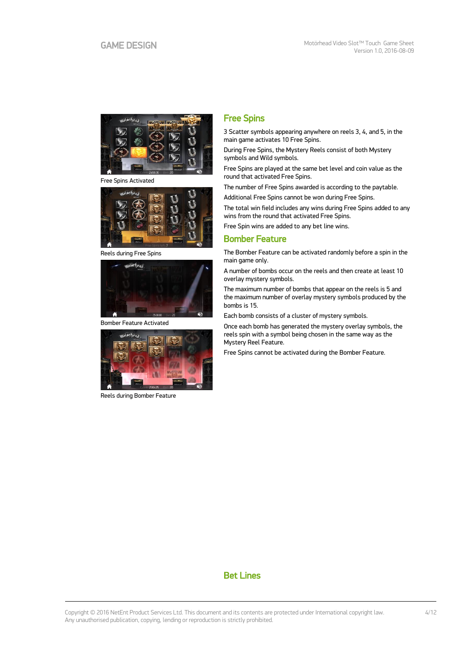

Free Spins Activated



Reels during Free Spins



Bomber Feature Activated



Reels during Bomber Feature

### Free Spins

3 Scatter symbols appearing anywhere on reels 3, 4, and 5, in the main game activates 10 Free Spins.

During Free Spins, the Mystery Reels consist of both Mystery symbols and Wild symbols.

Free Spins are played at the same bet level and coin value as the round that activated Free Spins.

The number of Free Spins awarded is according to the paytable.

Additional Free Spins cannot be won during Free Spins.

The total win field includes any wins during Free Spins added to any wins from the round that activated Free Spins.

Free Spin wins are added to any bet line wins.

### Bomber Feature

The Bomber Feature can be activated randomly before a spin in the main game only.

A number of bombs occur on the reels and then create at least 10 overlay mystery symbols.

The maximum number of bombs that appear on the reels is 5 and the maximum number of overlay mystery symbols produced by the bombs is 15.

Each bomb consists of a cluster of mystery symbols.

Once each bomb has generated the mystery overlay symbols, the reels spin with a symbol being chosen in the same way as the Mystery Reel Feature.

Free Spins cannot be activated during the Bomber Feature.

# Bet Lines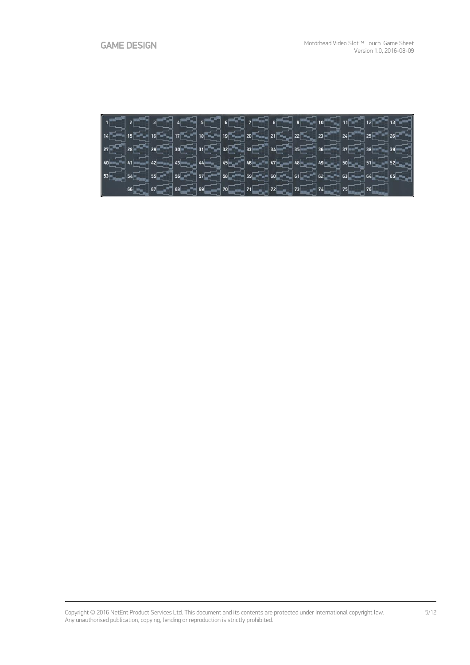|  |  |  |                                                             |  |  | $\left[14\frac{1}{\sqrt{2}}\right]15\frac{1}{\sqrt{2}}\left[16\frac{1}{\sqrt{2}}\right]17\frac{1}{\sqrt{2}}\left[16\frac{1}{\sqrt{2}}\right]18\frac{1}{\sqrt{2}}\left[16\frac{1}{\sqrt{2}}\right]18\frac{1}{\sqrt{2}}\left[16\frac{1}{\sqrt{2}}\right]18\frac{1}{\sqrt{2}}\left[16\frac{1}{\sqrt{2}}\right]18\frac{1}{\sqrt{2}}\left[16\frac{1}{\sqrt{2}}\right]18\frac{1}{\sqrt{2}}\left[16\frac{1}{$                                       |
|--|--|--|-------------------------------------------------------------|--|--|----------------------------------------------------------------------------------------------------------------------------------------------------------------------------------------------------------------------------------------------------------------------------------------------------------------------------------------------------------------------------------------------------------------------------------------------|
|  |  |  |                                                             |  |  |                                                                                                                                                                                                                                                                                                                                                                                                                                              |
|  |  |  |                                                             |  |  | $\boxed{40\text{cm}$ $\boxed{41\text{cm}$ $42\text{cm}$ $43\text{cm}$ $44\text{cm}$ $45\text{cm}$ $45\text{cm}$ $46\text{cm}$ $47\text{cm}$ $49\text{cm}$ $49\text{cm}$ $\boxed{49\text{cm}$ $\boxed{50\text{cm}}$ $51\text{cm}$ $52\text{cm}$ $\boxed{2}$                                                                                                                                                                                   |
|  |  |  |                                                             |  |  | $\left[$ 53 $\begin{bmatrix} 0 \end{bmatrix}$ 54 $\begin{bmatrix} 0 \end{bmatrix}$ 55 $\begin{bmatrix} 0 \end{bmatrix}$ 56 $\begin{bmatrix} 0 \end{bmatrix}$ 57 $\begin{bmatrix} 0 \end{bmatrix}$ 58 $\begin{bmatrix} 0 \end{bmatrix}$ 59 $\begin{bmatrix} 0 \end{bmatrix}$ 60 $\begin{bmatrix} 0 \end{bmatrix}$ 61 $\begin{bmatrix} 0 \end{bmatrix}$ 62 $\begin{bmatrix} 0 \end{bmatrix}$ 63 $\begin{bmatrix} 0 \end{bmatrix}$ 65 $\begin{$ |
|  |  |  | $66$ $76$ $76$ $76$ $70$ $71$ $72$ $73$ $74$ $74$ $75$ $76$ |  |  |                                                                                                                                                                                                                                                                                                                                                                                                                                              |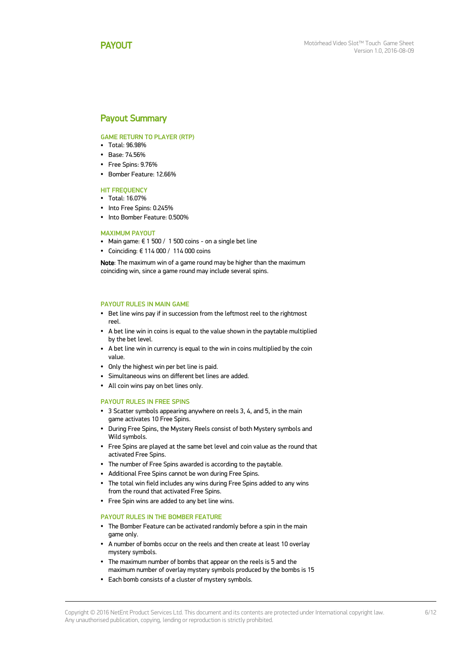### <span id="page-5-0"></span>Payout Summary

#### GAME RETURN TO PLAYER (RTP)

- Total: 96.98%
- Base: 74.56%
- Free Spins: 9.76%
- Bomber Feature: 12.66%

#### **HIT FREQUENCY**

- Total: 16.07%
- Into Free Spins: 0.245%
- Into Bomber Feature: 0.500%

#### MAXIMUM PAYOUT

- Main game:  $\epsilon$  1 500 / 1 500 coins on a single bet line
- Coinciding: € 114 000 / 114 000 coins

Note: The maximum win of a game round may be higher than the maximum coinciding win, since a game round may include several spins.

#### PAYOUT RULES IN MAIN GAME

- Bet line wins pay if in succession from the leftmost reel to the rightmost reel.
- A bet line win in coins is equal to the value shown in the paytable multiplied by the bet level.
- A bet line win in currency is equal to the win in coins multiplied by the coin value.
- Only the highest win per bet line is paid.
- Simultaneous wins on different bet lines are added.
- All coin wins pay on bet lines only.

#### PAYOUT RULES IN FREE SPINS

- 3 Scatter symbols appearing anywhere on reels 3, 4, and 5, in the main game activates 10 Free Spins.
- During Free Spins, the Mystery Reels consist of both Mystery symbols and Wild symbols.
- Free Spins are played at the same bet level and coin value as the round that activated Free Spins.
- The number of Free Spins awarded is according to the paytable.
- Additional Free Spins cannot be won during Free Spins.
- The total win field includes any wins during Free Spins added to any wins from the round that activated Free Spins.
- Free Spin wins are added to any bet line wins.

#### PAYOUT RULES IN THE BOMBER FEATURE

- The Bomber Feature can be activated randomly before a spin in the main game only.
- A number of bombs occur on the reels and then create at least 10 overlay mystery symbols.
- The maximum number of bombs that appear on the reels is 5 and the maximum number of overlay mystery symbols produced by the bombs is 15
- Each bomb consists of a cluster of mystery symbols.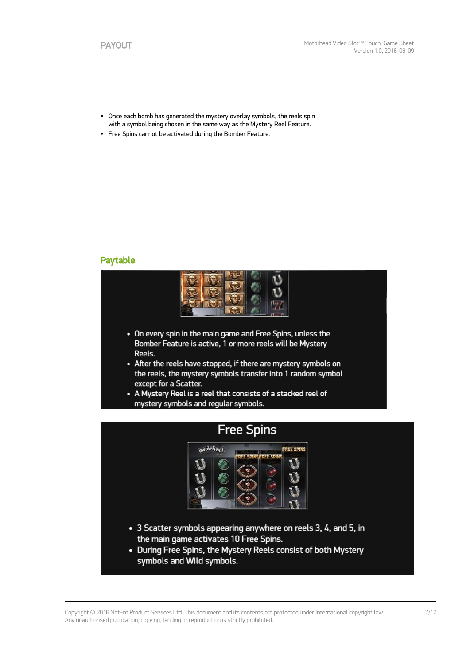- Once each bomb has generated the mystery overlay symbols, the reels spin with a symbol being chosen in the same way as the Mystery Reel Feature.
- Free Spins cannot be activated during the Bomber Feature.

### Paytable



- On every spin in the main game and Free Spins, unless the Bomber Feature is active, 1 or more reels will be Mystery Reels.
- After the reels have stopped, if there are mystery symbols on the reels, the mystery symbols transfer into 1 random symbol except for a Scatter.
- A Mystery Reel is a reel that consists of a stacked reel of mystery symbols and regular symbols.

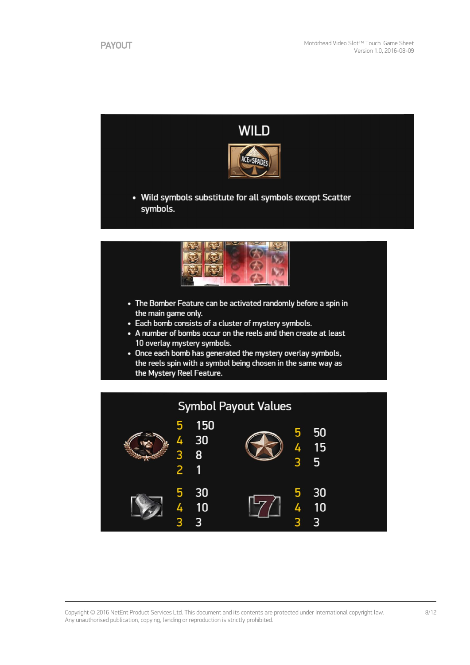

- The Bomber Feature can be activated randomly before a spin in the main game only.
- Each bomb consists of a cluster of mystery symbols.
- A number of bombs occur on the reels and then create at least 10 overlay mystery symbols.
- Once each bomb has generated the mystery overlay symbols, the reels spin with a symbol being chosen in the same way as the Mystery Reel Feature.

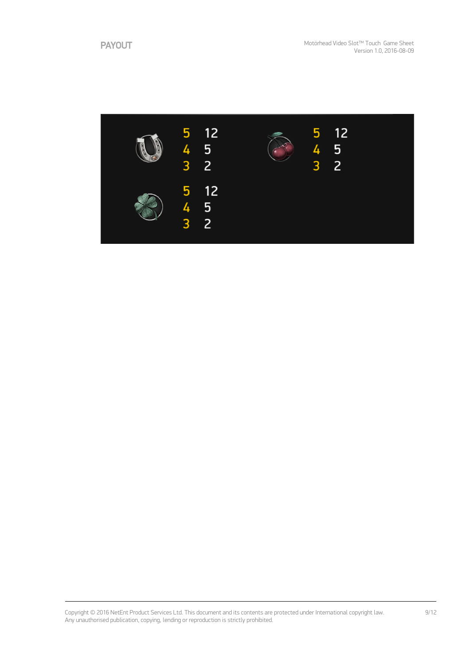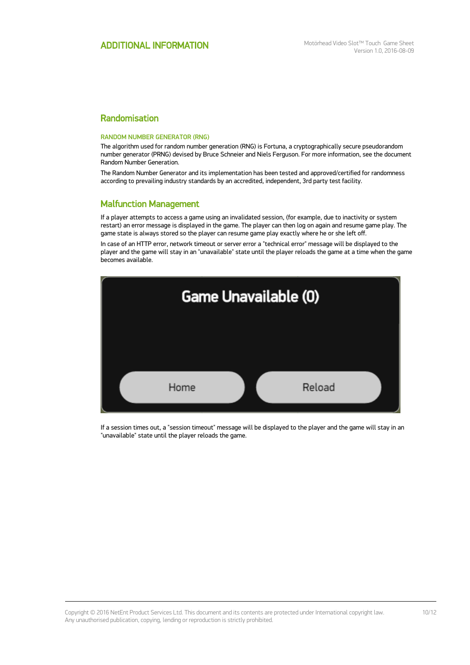### Randomisation

#### RANDOM NUMBER GENERATOR (RNG)

The algorithm used for random number generation (RNG) is Fortuna, a cryptographically secure pseudorandom number generator (PRNG) devised by Bruce Schneier and Niels Ferguson. For more information, see the document Random Number Generation.

The Random Number Generator and its implementation has been tested and approved/certified for randomness according to prevailing industry standards by an accredited, independent, 3rd party test facility.

### Malfunction Management

If a player attempts to access a game using an invalidated session, (for example, due to inactivity or system restart) an error message is displayed in the game. The player can then log on again and resume game play. The game state is always stored so the player can resume game play exactly where he or she left off.

In case of an HTTP error, network timeout or server error a "technical error" message will be displayed to the player and the game will stay in an "unavailable" state until the player reloads the game at a time when the game becomes available.



If a session times out, a "session timeout" message will be displayed to the player and the game will stay in an "unavailable" state until the player reloads the game.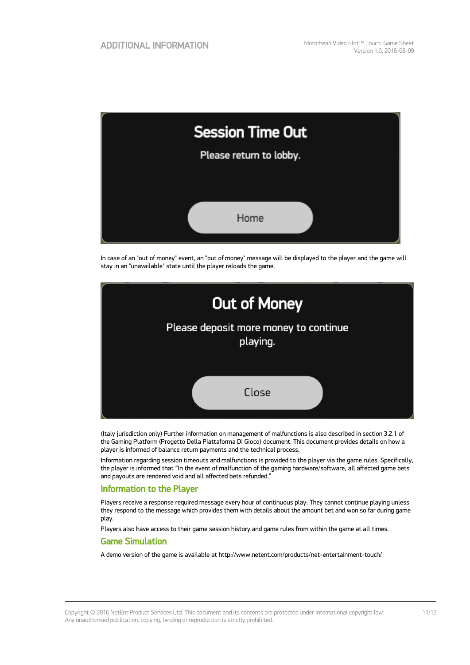| <b>Session Time Out</b> |  |  |  |  |
|-------------------------|--|--|--|--|
| Please return to lobby. |  |  |  |  |
|                         |  |  |  |  |
| Home                    |  |  |  |  |

In case of an "out of money" event, an "out of money" message will be displayed to the player and the game will stay in an "unavailable" state until the player reloads the game.



(Italy jurisdiction only) Further information on management of malfunctions is also described in section 3.2.1 of the Gaming Platform (Progetto Della Piattaforma Di Gioco) document. This document provides details on how a player is informed of balance return payments and the technical process.

Information regarding session timeouts and malfunctions is provided to the player via the game rules. Specifically, the player is informed that "In the event of malfunction of the gaming hardware/software, all affected game bets and payouts are rendered void and all affected bets refunded."

### Information to the Player

Players receive a response required message every hour of continuous play: They cannot continue playing unless they respond to the message which provides them with details about the amount bet and won so far during game play.

Players also have access to their game session history and game rules from within the game at all times.

### Game Simulation

A demo version of the game is available at http://www.netent.com/products/net-entertainment-touch/